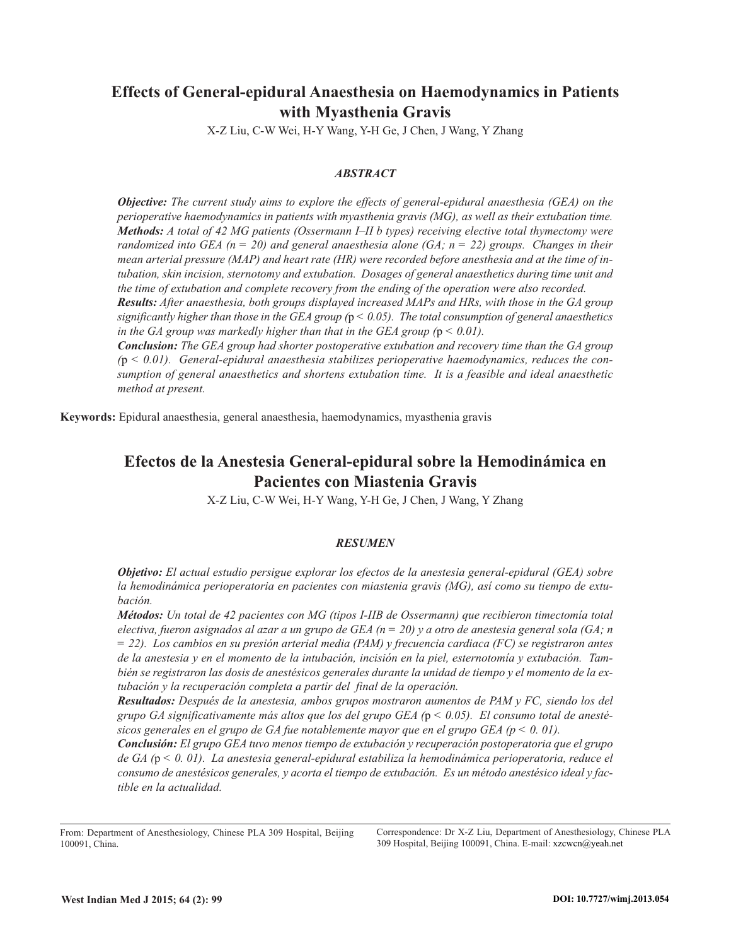# **Effects of General-epidural Anaesthesia on Haemodynamics in Patients with Myasthenia Gravis**

X-Z Liu, C-W Wei, H-Y Wang, Y-H Ge, J Chen, J Wang, Y Zhang

## *ABSTRACT*

*Objective: The current study aims to explore the effects of general-epidural anaesthesia (GEA) on the perioperative haemodynamics in patients with myasthenia gravis (MG), as well as their extubation time. Methods: A total of 42 MG patients (Ossermann I–II b types) receiving elective total thymectomy were randomized into GEA (n = 20) and general anaesthesia alone (GA; n = 22) groups. Changes in their* mean arterial pressure (MAP) and heart rate (HR) were recorded before anesthesia and at the time of in*tubation, skin incision, sternotomy and extubation. Dosages of general anaesthetics during time unit and the time of extubation and complete recovery from the ending of the operation were also recorded.*

*Results: After anaesthesia, both groups displayed increased MAPs and HRs, with those in the GA group* significantly higher than those in the GEA group ( $p < 0.05$ ). The total consumption of general anaesthetics *in* the GA group was markedly higher than that in the GEA group  $(p < 0.01)$ .

*Conclusion: The GEA group had shorter postoperative extubation and recovery time than the GA group (*p *< 0.01). General-epidural anaesthesia stabilizes perioperative haemodynamics, reduces the consumption of general anaesthetics and shortens extubation time. It is a feasible and ideal anaesthetic method at present.*

**Keywords:** Epidural anaesthesia, general anaesthesia, haemodynamics, myasthenia gravis

# **Efectos de la Anestesia General-epidural sobre la Hemodinámica en Pacientes con Miastenia Gravis**

X-Z Liu, C-W Wei, H-Y Wang, Y-H Ge, J Chen, J Wang, Y Zhang

## *RESUMEN*

*Objetivo: El actual estudio persigue explorar los efectos de la anestesia general-epidural (GEA) sobre la hemodinámica perioperatoria en pacientes con miastenia gravis (MG), así como su tiempo de extubación.*

*Métodos: Un total de 42 pacientes con MG (tipos I-IIB de Ossermann) que recibieron timectomía total* electiva, fueron asignados al azar a un grupo de GEA ( $n = 20$ ) y a otro de anestesia general sola (GA; n *= 22). Los cambios en su presión arterial media (PAM) y frecuencia cardiaca (FC) se registraron antes* de la anestesia y en el momento de la intubación, incisión en la piel, esternotomía y extubación. También se registraron las dosis de anestésicos generales durante la unidad de tiempo y el momento de la ex*tubación y la recuperación completa a partir del final de la operación.*

*Resultados: Después de la anestesia, ambos grupos mostraron aumentos de PAM y FC, siendo los del* grupo GA significativamente más altos que los del grupo GEA ( $p < 0.05$ ). El consumo total de anesté*sicos generales en el grupo de GA fue notablemente mayor que en el grupo GEA (p < 0. 01).*

*Conclusión: El grupo GEA tuvo menos tiempo de extubación y recuperación postoperatoria que el grupo de GA (*p *< 0. 01). La anestesia general-epidural estabiliza la hemodinámica perioperatoria, reduce el consumo de anestésicos generales, y acorta el tiempo de extubación. Es un método anestésico ideal y factible en la actualidad.*

Correspondence: Dr X-Z Liu, Department of Anesthesiology, Chinese PLA 309 Hospital, Beijing 100091, China. E-mail: xzcwcn@yeah.net

From: Department of Anesthesiology, Chinese PLA 309 Hospital, Beijing 100091, China.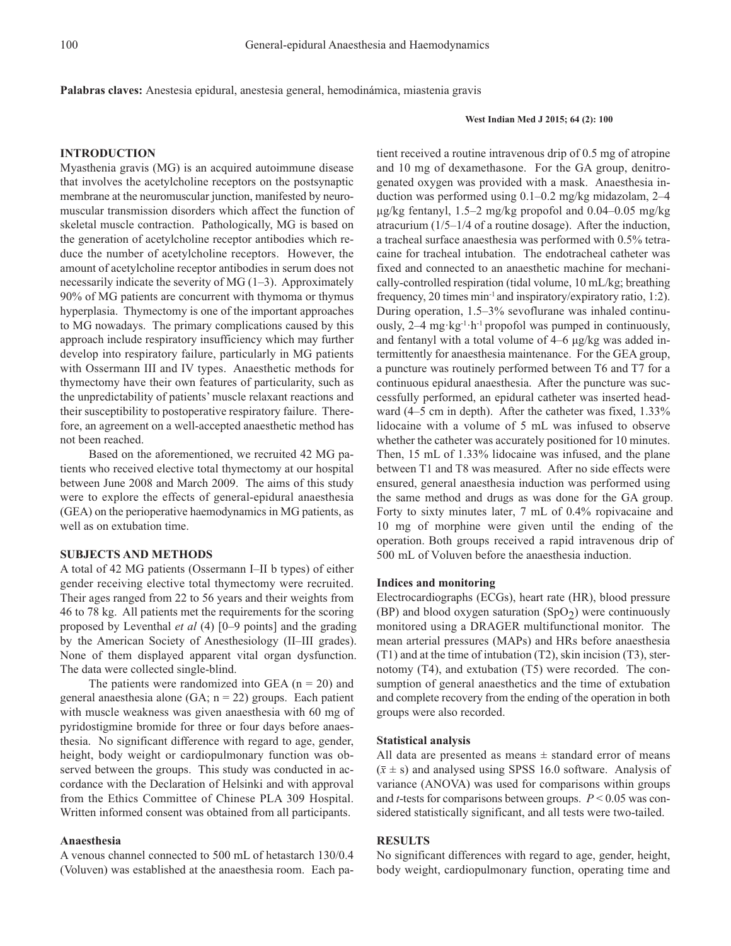**Palabras claves:** Anestesia epidural, anestesia general, hemodinámica, miastenia gravis

#### **West Indian Med J 2015; 64 (2): 100**

## **INTRODUCTION**

Myasthenia gravis (MG) is an acquired autoimmune disease that involves the acetylcholine receptors on the postsynaptic membrane at the neuromuscular junction, manifested by neuromuscular transmission disorders which affect the function of skeletal muscle contraction. Pathologically, MG is based on the generation of acetylcholine receptor antibodies which reduce the number of acetylcholine receptors. However, the amount of acetylcholine receptor antibodies in serum does not necessarily indicate the severity of MG  $(1-3)$ . Approximately 90% of MG patients are concurrent with thymoma or thymus hyperplasia. Thymectomy is one of the important approaches to MG nowadays. The primary complications caused by this approach include respiratory insufficiency which may further develop into respiratory failure, particularly in MG patients with Ossermann III and IV types. Anaesthetic methods for thymectomy have their own features of particularity, such as the unpredictability of patients' muscle relaxant reactions and their susceptibility to postoperative respiratory failure. Therefore, an agreement on a well-accepted anaesthetic method has not been reached.

Based on the aforementioned, we recruited 42 MG patients who received elective total thymectomy at our hospital between June 2008 and March 2009. The aims of this study were to explore the effects of general-epidural anaesthesia (GEA) on the perioperative haemodynamics in MG patients, as well as on extubation time.

### **SUBJECTS AND METHODS**

A total of 42 MG patients (Ossermann I–II b types) of either gender receiving elective total thymectomy were recruited. Their ages ranged from 22 to 56 years and their weights from 46 to 78 kg. All patients met the requirements for the scoring proposed by Leventhal *et al* (4) [0–9 points] and the grading by the American Society of Anesthesiology (II–III grades). None of them displayed apparent vital organ dysfunction. The data were collected single-blind.

The patients were randomized into GEA  $(n = 20)$  and general anaesthesia alone (GA;  $n = 22$ ) groups. Each patient with muscle weakness was given anaesthesia with 60 mg of pyridostigmine bromide for three or four days before anaesthesia. No significant difference with regard to age, gender, height, body weight or cardiopulmonary function was observed between the groups. This study was conducted in accordance with the Declaration of Helsinki and with approval from the Ethics Committee of Chinese PLA 309 Hospital. Written informed consent was obtained from all participants.

#### **Anaesthesia**

A venous channel connected to 500 mL of hetastarch 130/0.4 (Voluven) was established at the anaesthesia room. Each pa-

tient received a routine intravenous drip of 0.5 mg of atropine and 10 mg of dexamethasone. For the GA group, denitrogenated oxygen was provided with a mask. Anaesthesia induction was performed using 0.1–0.2 mg/kg midazolam, 2–4 µg/kg fentanyl, 1.5–2 mg/kg propofol and 0.04–0.05 mg/kg atracurium (1/5–1/4 of a routine dosage). After the induction, a tracheal surface anaesthesia was performed with 0.5% tetracaine for tracheal intubation. The endotracheal catheter was fixed and connected to an anaesthetic machine for mechanically-controlled respiration (tidal volume, 10 mL/kg; breathing frequency, 20 times min<sup>-1</sup> and inspiratory/expiratory ratio, 1:2). During operation, 1.5–3% sevoflurane was inhaled continuously,  $2-4$  mg·kg<sup>-1</sup>·h<sup>-1</sup> propofol was pumped in continuously, and fentanyl with a total volume of 4–6 µg/kg was added intermittently for anaesthesia maintenance. For the GEA group, a puncture was routinely performed between T6 and T7 for a continuous epidural anaesthesia. After the puncture was successfully performed, an epidural catheter was inserted headward (4–5 cm in depth). After the catheter was fixed, 1.33% lidocaine with a volume of 5 mL was infused to observe whether the catheter was accurately positioned for 10 minutes. Then, 15 mL of 1.33% lidocaine was infused, and the plane between T1 and T8 was measured. After no side effects were ensured, general anaesthesia induction was performed using the same method and drugs as was done for the GA group. Forty to sixty minutes later, 7 mL of 0.4% ropivacaine and 10 mg of morphine were given until the ending of the operation. Both groups received a rapid intravenous drip of 500 mL of Voluven before the anaesthesia induction.

### **Indices and monitoring**

Electrocardiographs (ECGs), heart rate (HR), blood pressure (BP) and blood oxygen saturation  $(SpO<sub>2</sub>)$  were continuously monitored using a DRAGER multifunctional monitor. The mean arterial pressures (MAPs) and HRs before anaesthesia (T1) and at the time of intubation (T2), skin incision (T3), sternotomy (T4), and extubation (T5) were recorded. The consumption of general anaesthetics and the time of extubation and complete recovery from the ending of the operation in both groups were also recorded.

#### **Statistical analysis**

All data are presented as means  $\pm$  standard error of means  $(\bar{x} \pm s)$  and analysed using SPSS 16.0 software. Analysis of variance (ANOVA) was used for comparisons within groups and *t*-tests for comparisons between groups. *P* < 0.05 was considered statistically significant, and all tests were two-tailed.

### **RESULTS**

No significant differences with regard to age, gender, height, body weight, cardiopulmonary function, operating time and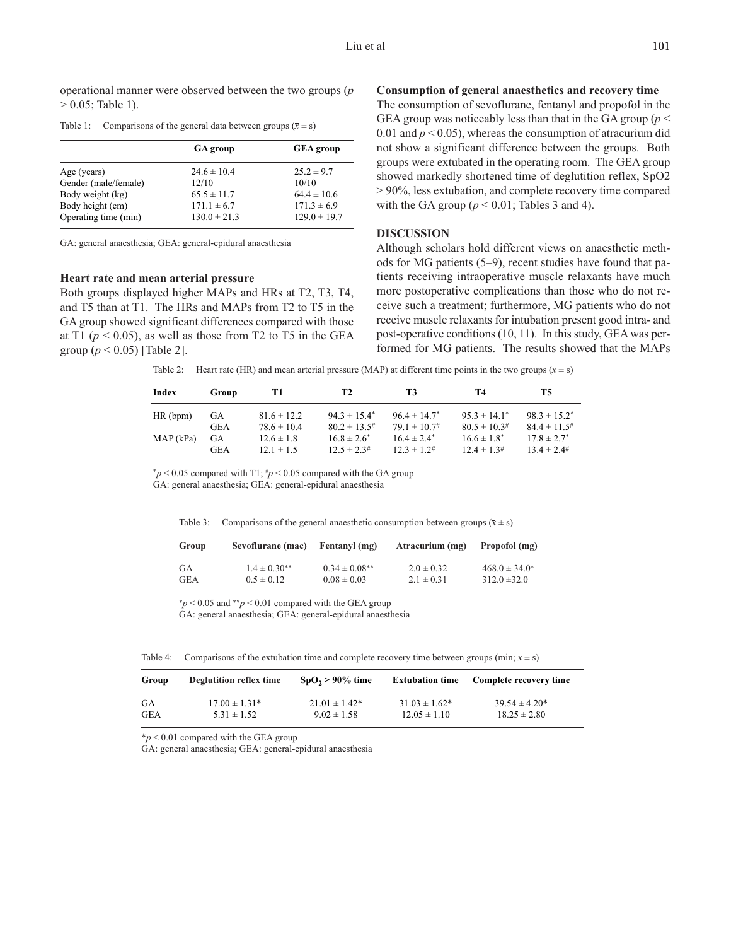operational manner were observed between the two groups (*p*  $> 0.05$ ; Table 1).

Table 1: Comparisons of the general data between groups  $(\bar{x} \pm s)$ 

| <b>GA</b> group  | <b>GEA</b> group |  |
|------------------|------------------|--|
| $24.6 \pm 10.4$  | $25.2 \pm 9.7$   |  |
| 12/10            | 10/10            |  |
| $65.5 \pm 11.7$  | $64.4 \pm 10.6$  |  |
| $171.1 \pm 6.7$  | $171.3 \pm 6.9$  |  |
| $130.0 \pm 21.3$ | $129.0 \pm 19.7$ |  |
|                  |                  |  |

GA: general anaesthesia; GEA: general-epidural anaesthesia

### **Heart rate and mean arterial pressure**

Both groups displayed higher MAPs and HRs at T2, T3, T4, and T5 than at T1. The HRs and MAPs from T2 to T5 in the GA group showed significant differences compared with those at T1 ( $p < 0.05$ ), as well as those from T2 to T5 in the GEA group (*p* < 0.05) [Table 2].

# **Consumption of general anaesthetics and recovery time**

The consumption of sevoflurane, fentanyl and propofol in the GEA group was noticeably less than that in the GA group (*p* < 0.01 and  $p < 0.05$ ), whereas the consumption of atracurium did not show a significant difference between the groups. Both groups were extubated in the operating room. The GEA group showed markedly shortened time of deglutition reflex, SpO2 > 90%, less extubation, and complete recovery time compared with the GA group ( $p < 0.01$ ; Tables 3 and 4).

### **DISCUSSION**

Although scholars hold different views on anaesthetic methods for MG patients (5–9), recent studies have found that patients receiving intraoperative muscle relaxants have much more postoperative complications than those who do not receive such a treatment; furthermore, MG patients who do not receive muscle relaxants for intubation present good intra- and post-operative conditions (10, 11). In this study, GEA was performed for MG patients. The results showed that the MAPs

Table 2: Heart rate (HR) and mean arterial pressure (MAP) at different time points in the two groups  $(\bar{x} \pm s)$ 

| Index    | Group | T1              | T2                   | T3                   | T4                   | Т5                   |
|----------|-------|-----------------|----------------------|----------------------|----------------------|----------------------|
|          |       |                 |                      |                      |                      |                      |
| HR(bpm)  | GА    | $81.6 \pm 12.2$ | $94.3 \pm 15.4^*$    | $96.4 \pm 14.7^*$    | $95.3 \pm 14.1^*$    | $98.3 \pm 15.2^*$    |
|          | GEA   | $78.6 \pm 10.4$ | $80.2 \pm 13.5^{\#}$ | $79.1 \pm 10.7^{\#}$ | $80.5 \pm 10.3^{\#}$ | $84.4 \pm 11.5^{\#}$ |
| MAP(kPa) | GA    | $12.6 \pm 1.8$  | $16.8 \pm 2.6^*$     | $16.4 \pm 2.4^*$     | $16.6 \pm 1.8^*$     | $17.8 \pm 2.7^*$     |
|          | GEA   | $12.1 \pm 1.5$  | $12.5 \pm 2.3^{\#}$  | $12.3 \pm 1.2^{\#}$  | $12.4 \pm 1.3^{\#}$  | $13.4 \pm 2.4^{\#}$  |

 $p < 0.05$  compared with T1;  $\frac{p}{p} < 0.05$  compared with the GA group

GA: general anaesthesia; GEA: general-epidural anaesthesia

|  | Table 3: Comparisons of the general anaesthetic consumption between groups $(\bar{x} \pm s)$ |  |  |  |  |  |  |  |
|--|----------------------------------------------------------------------------------------------|--|--|--|--|--|--|--|
|--|----------------------------------------------------------------------------------------------|--|--|--|--|--|--|--|

| Group      | Sevoflurane (mac) | Fentanyl (mg)     | Atracurium (mg) | Propofol (mg)      |
|------------|-------------------|-------------------|-----------------|--------------------|
| GA         | $1.4 \pm 0.30**$  | $0.34 \pm 0.08**$ | $2.0 \pm 0.32$  | $468.0 \pm 34.0^*$ |
| <b>GEA</b> | $0.5 \pm 0.12$    | $0.08 \pm 0.03$   | $2.1 \pm 0.31$  | $312.0 \pm 32.0$   |

\**p* < 0.05 and \*\**p* < 0.01 compared with the GEA group

GA: general anaesthesia; GEA: general-epidural anaesthesia

Table 4: Comparisons of the extubation time and complete recovery time between groups (min;  $\bar{x} \pm s$ )

| Group      | Deglutition reflex time | $SpO2 > 90\%$ time | <b>Extubation time</b> | Complete recovery time |
|------------|-------------------------|--------------------|------------------------|------------------------|
| GA         | $17.00 \pm 1.31*$       | $21.01 \pm 1.42^*$ | $31.03 \pm 1.62^*$     | $39.54 \pm 4.20*$      |
| <b>GEA</b> | $5.31 \pm 1.52$         | $9.02 \pm 1.58$    | $12.05 \pm 1.10$       | $18.25 \pm 2.80$       |

 $**p* < 0.01$  compared with the GEA group

GA: general anaesthesia; GEA: general-epidural anaesthesia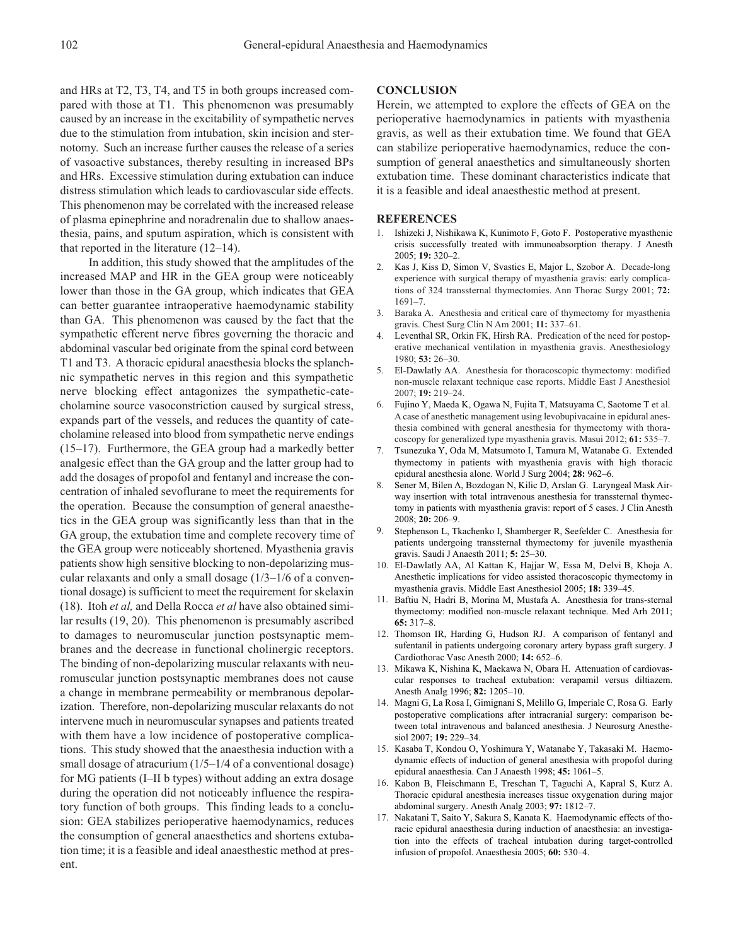and HRs at T2, T3, T4, and T5 in both groups increased compared with those at T1. This phenomenon was presumably caused by an increase in the excitability of sympathetic nerves due to the stimulation from intubation, skin incision and sternotomy. Such an increase further causes the release of a series of vasoactive substances, thereby resulting in increased BPs and HRs. Excessive stimulation during extubation can induce distress stimulation which leads to cardiovascular side effects. This phenomenon may be correlated with the increased release of plasma epinephrine and noradrenalin due to shallow anaesthesia, pains, and sputum aspiration, which is consistent with that reported in the literature (12–14).

In addition, this study showed that the amplitudes of the increased MAP and HR in the GEA group were noticeably lower than those in the GA group, which indicates that GEA can better guarantee intraoperative haemodynamic stability than GA. This phenomenon was caused by the fact that the sympathetic efferent nerve fibres governing the thoracic and abdominal vascular bed originate from the spinal cord between T1 and T3. A thoracic epidural anaesthesia blocks the splanchnic sympathetic nerves in this region and this sympathetic nerve blocking effect antagonizes the sympathetic-catecholamine source vasoconstriction caused by surgical stress, expands part of the vessels, and reduces the quantity of catecholamine released into blood from sympathetic nerve endings (15–17). Furthermore, the GEA group had a markedly better analgesic effect than the GA group and the latter group had to add the dosages of propofol and fentanyl and increase the concentration of inhaled sevoflurane to meet the requirements for the operation. Because the consumption of general anaesthetics in the GEA group was significantly less than that in the GA group, the extubation time and complete recovery time of the GEA group were noticeably shortened. Myasthenia gravis patients show high sensitive blocking to non-depolarizing muscular relaxants and only a small dosage (1/3–1/6 of a conventional dosage) is sufficient to meet the requirement for skelaxin (18). Itoh *et al,* and Della Rocca *et al* have also obtained similar results (19, 20). This phenomenon is presumably ascribed to damages to neuromuscular junction postsynaptic membranes and the decrease in functional cholinergic receptors. The binding of non-depolarizing muscular relaxants with neuromuscular junction postsynaptic membranes does not cause a change in membrane permeability or membranous depolarization. Therefore, non-depolarizing muscular relaxants do not intervene much in neuromuscular synapses and patients treated with them have a low incidence of postoperative complications. This study showed that the anaesthesia induction with a small dosage of atracurium ( $1/5-1/4$  of a conventional dosage) for MG patients (I–II b types) without adding an extra dosage during the operation did not noticeably influence the respiratory function of both groups. This finding leads to a conclusion: GEA stabilizes perioperative haemodynamics, reduces the consumption of general anaesthetics and shortens extubation time; it is a feasible and ideal anaesthestic method at present.

#### **CONCLUSION**

Herein, we attempted to explore the effects of GEA on the perioperative haemodynamics in patients with myasthenia gravis, as well as their extubation time. We found that GEA can stabilize perioperative haemodynamics, reduce the consumption of general anaesthetics and simultaneously shorten extubation time. These dominant characteristics indicate that it is a feasible and ideal anaesthestic method at present.

#### **REFERENCES**

- 1. Ishizeki J, Nishikawa K, Kunimoto F, Goto F. Postoperative myasthenic crisis successfully treated with immunoabsorption therapy. J Anesth 2005; **19:** 320–2.
- 2. Kas J, Kiss D, Simon V, Svastics E, Major L, Szobor A. Decade-long experience with surgical therapy of myasthenia gravis: early complications of 324 transsternal thymectomies. Ann Thorac Surgy 2001; **72:** 1691–7.
- 3. Baraka A. Anesthesia and critical care of thymectomy for myasthenia gravis. Chest Surg Clin N Am 2001; **11:** 337–61.
- 4. Leventhal SR, Orkin FK, Hirsh RA. Predication of the need for postoperative mechanical ventilation in myasthenia gravis. Anesthesiology 1980; **53:** 26–30.
- 5. El-Dawlatly AA. Anesthesia for thoracoscopic thymectomy: modified non-muscle relaxant technique case reports. Middle East J Anesthesiol 2007; **19:** 219–24.
- 6. Fujino Y, Maeda K, Ogawa N, Fujita T, Matsuyama C, Saotome T et al. A case of anesthetic management using levobupivacaine in epidural anesthesia combined with general anesthesia for thymectomy with thoracoscopy for generalized type myasthenia gravis. Masui 2012; **61:** 535–7.
- 7. Tsunezuka Y, Oda M, Matsumoto I, Tamura M, Watanabe G. Extended thymectomy in patients with myasthenia gravis with high thoracic epidural anesthesia alone. World J Surg 2004; **28:** 962–6.
- 8. Sener M, Bilen A, Bozdogan N, Kilic D, Arslan G. Laryngeal Mask Airway insertion with total intravenous anesthesia for transsternal thymectomy in patients with myasthenia gravis: report of 5 cases. J Clin Anesth 2008; **20:** 206–9.
- 9. Stephenson L, Tkachenko I, Shamberger R, Seefelder C. Anesthesia for patients undergoing transsternal thymectomy for juvenile myasthenia gravis. Saudi J Anaesth 2011; **5:** 25–30.
- 10. El-Dawlatly AA, Al Kattan K, Hajjar W, Essa M, Delvi B, Khoja A. Anesthetic implications for video assisted thoracoscopic thymectomy in myasthenia gravis. Middle East Anesthesiol 2005; **18:** 339–45.
- 11. Baftiu N, Hadri B, Morina M, Mustafa A. Anesthesia for trans-sternal thymectomy: modified non-muscle relaxant technique. Med Arh 2011; **65:** 317–8.
- 12. Thomson IR, Harding G, Hudson RJ. A comparison of fentanyl and sufentanil in patients undergoing coronary artery bypass graft surgery. J Cardiothorac Vasc Anesth 2000; **14:** 652–6.
- 13. Mikawa K, Nishina K, Maekawa N, Obara H. Attenuation of cardiovascular responses to tracheal extubation: verapamil versus diltiazem. Anesth Analg 1996; **82:** 1205–10.
- 14. Magni G, La Rosa I, Gimignani S, Melillo G, Imperiale C, Rosa G. Early postoperative complications after intracranial surgery: comparison between total intravenous and balanced anesthesia. J Neurosurg Anesthesiol 2007; **19:** 229–34.
- 15. Kasaba T, Kondou O, Yoshimura Y, Watanabe Y, Takasaki M. Haemodynamic effects of induction of general anesthesia with propofol during epidural anaesthesia. Can J Anaesth 1998; **45:** 1061–5.
- 16. Kabon B, Fleischmann E, Treschan T, Taguchi A, Kapral S, Kurz A. Thoracic epidural anesthesia increases tissue oxygenation during major abdominal surgery. Anesth Analg 2003; **97:** 1812–7.
- 17. Nakatani T, Saito Y, Sakura S, Kanata K. Haemodynamic effects of thoracic epidural anaesthesia during induction of anaesthesia: an investigation into the effects of tracheal intubation during target-controlled infusion of propofol. Anaesthesia 2005; **60:** 530–4.